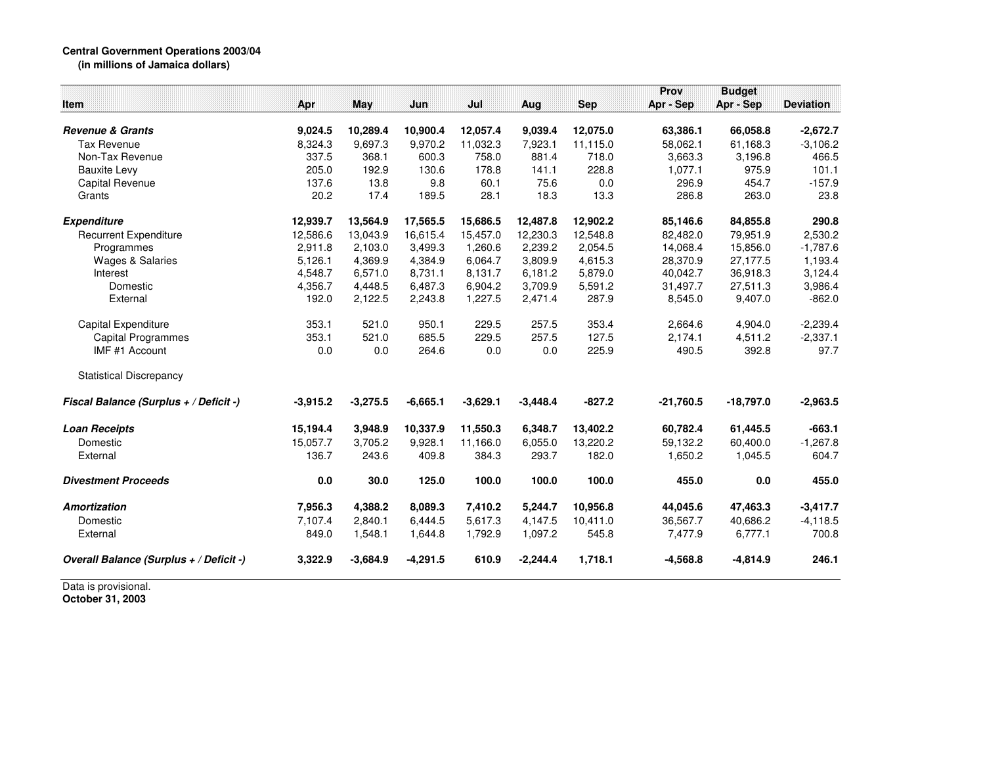## **Central Government Operations 2003/04 (in millions of Jamaica dollars)**

|                                         |            |            |            |            |            |                      | Prov                 | <b>Budget</b> |                  |
|-----------------------------------------|------------|------------|------------|------------|------------|----------------------|----------------------|---------------|------------------|
| Item                                    | Apr        | May        | Jun        | Jul        | Aug        | Sep                  | Apr - Sep            | Apr - Sep     | <b>Deviation</b> |
| <b>Revenue &amp; Grants</b>             | 9,024.5    | 10,289.4   | 10,900.4   | 12,057.4   | 9,039.4    |                      |                      | 66,058.8      | $-2,672.7$       |
| <b>Tax Revenue</b>                      | 8,324.3    | 9,697.3    | 9,970.2    | 11,032.3   | 7,923.1    | 12,075.0<br>11,115.0 | 63,386.1<br>58,062.1 | 61,168.3      | $-3,106.2$       |
| Non-Tax Revenue                         | 337.5      | 368.1      | 600.3      | 758.0      | 881.4      | 718.0                | 3,663.3              | 3,196.8       | 466.5            |
| <b>Bauxite Levy</b>                     | 205.0      | 192.9      | 130.6      | 178.8      | 141.1      | 228.8                | 1,077.1              | 975.9         | 101.1            |
| Capital Revenue                         | 137.6      | 13.8       | 9.8        | 60.1       | 75.6       | 0.0                  | 296.9                | 454.7         | $-157.9$         |
| Grants                                  | 20.2       | 17.4       | 189.5      | 28.1       | 18.3       | 13.3                 | 286.8                | 263.0         | 23.8             |
| <b>Expenditure</b>                      | 12,939.7   | 13,564.9   | 17,565.5   | 15,686.5   | 12,487.8   | 12,902.2             | 85,146.6             | 84,855.8      | 290.8            |
| <b>Recurrent Expenditure</b>            | 12,586.6   | 13,043.9   | 16,615.4   | 15,457.0   | 12,230.3   | 12,548.8             | 82,482.0             | 79,951.9      | 2,530.2          |
| Programmes                              | 2,911.8    | 2,103.0    | 3,499.3    | 1,260.6    | 2,239.2    | 2,054.5              | 14,068.4             | 15,856.0      | $-1,787.6$       |
| <b>Wages &amp; Salaries</b>             | 5,126.1    | 4,369.9    | 4,384.9    | 6,064.7    | 3,809.9    | 4,615.3              | 28,370.9             | 27,177.5      | 1,193.4          |
| Interest                                | 4,548.7    | 6,571.0    | 8,731.1    | 8,131.7    | 6,181.2    | 5,879.0              | 40,042.7             | 36,918.3      | 3,124.4          |
| Domestic                                | 4,356.7    | 4,448.5    | 6,487.3    | 6,904.2    | 3,709.9    | 5,591.2              | 31,497.7             | 27,511.3      | 3,986.4          |
| External                                | 192.0      | 2,122.5    | 2,243.8    | 1,227.5    | 2,471.4    | 287.9                | 8,545.0              | 9,407.0       | $-862.0$         |
| Capital Expenditure                     | 353.1      | 521.0      | 950.1      | 229.5      | 257.5      | 353.4                | 2,664.6              | 4,904.0       | $-2,239.4$       |
| <b>Capital Programmes</b>               | 353.1      | 521.0      | 685.5      | 229.5      | 257.5      | 127.5                | 2,174.1              | 4,511.2       | $-2,337.1$       |
| IMF #1 Account                          | 0.0        | 0.0        | 264.6      | 0.0        | 0.0        | 225.9                | 490.5                | 392.8         | 97.7             |
| <b>Statistical Discrepancy</b>          |            |            |            |            |            |                      |                      |               |                  |
| Fiscal Balance (Surplus + / Deficit -)  | $-3,915.2$ | $-3,275.5$ | $-6,665.1$ | $-3,629.1$ | $-3,448.4$ | $-827.2$             | $-21,760.5$          | $-18,797.0$   | $-2,963.5$       |
| <b>Loan Receipts</b>                    | 15,194.4   | 3,948.9    | 10,337.9   | 11,550.3   | 6,348.7    | 13,402.2             | 60,782.4             | 61,445.5      | $-663.1$         |
| Domestic                                | 15,057.7   | 3,705.2    | 9.928.1    | 11,166.0   | 6,055.0    | 13,220.2             | 59,132.2             | 60,400.0      | $-1,267.8$       |
| External                                | 136.7      | 243.6      | 409.8      | 384.3      | 293.7      | 182.0                | 1,650.2              | 1,045.5       | 604.7            |
| <b>Divestment Proceeds</b>              | 0.0        | 30.0       | 125.0      | 100.0      | 100.0      | 100.0                | 455.0                | 0.0           | 455.0            |
| Amortization                            | 7,956.3    | 4,388.2    | 8,089.3    | 7,410.2    | 5,244.7    | 10,956.8             | 44,045.6             | 47,463.3      | $-3,417.7$       |
| Domestic                                | 7,107.4    | 2,840.1    | 6,444.5    | 5,617.3    | 4,147.5    | 10,411.0             | 36,567.7             | 40,686.2      | $-4,118.5$       |
| External                                | 849.0      | 1,548.1    | 1,644.8    | 1,792.9    | 1,097.2    | 545.8                | 7,477.9              | 6,777.1       | 700.8            |
| Overall Balance (Surplus + / Deficit -) | 3,322.9    | $-3,684.9$ | $-4,291.5$ | 610.9      | $-2,244.4$ | 1,718.1              | $-4,568.8$           | $-4,814.9$    | 246.1            |
| Data is provisional.                    |            |            |            |            |            |                      |                      |               |                  |

**October 31, 2003**